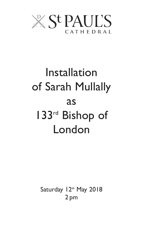

# Installation of Sarah Mullally as 133rd Bishop of London

Saturday 12th May 2018 2 pm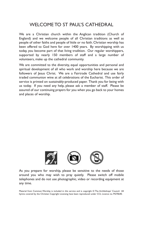# WELCOME TO ST PAUL'S CATHEDRAL

We are a Christian church within the Anglican tradition (Church of England) and we welcome people of all Christian traditions as well as people of other faiths and people of little or no faith. Christian worship has been offered to God here for over 1400 years. By worshipping with us today, you become part of that living tradition. Our regular worshippers, supported by nearly 150 members of staff and a large number of volunteers, make up the cathedral community.

We are committed to the diversity, equal opportunities and personal and spiritual development of all who work and worship here because we are followers of Jesus Christ. We are a Fairtrade Cathedral and use fairly traded communion wine at all celebrations of the Eucharist. This order of service is printed on sustainably-produced paper. Thank you for being with us today. If you need any help, please ask a member of staff. Please be assured of our continuing prayers for you when you go back to your homes and places of worship.



As you prepare for worship, please be sensitive to the needs of those around you who may wish to pray quietly. Please switch off mobile telephones and do not use photographic, video or recording equipment at any time.

Material from Common Worship is included in this service and is copyright © The Archbishops' Council. All hymns covered by the Christian Copyright Licensing have been reproduced under CCL Licence no. M270640.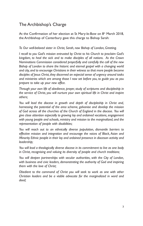# The Archbishop's Charge

At the Confirmation of her election at St Mary-le-Bow on 8<sup>th</sup> March 2018, the Archbishop of Canterbury gave this charge to Bishop Sarah:

*To Our well-beloved sister in Christ, Sarah, now Bishop of London, Greeting.*

*I recall to you God's mission entrusted by Christ to his Church to proclaim God's kingdom, to heal the sick and to make disciples of all nations. As the Crown Nominations Commission considered prayerfully and carefully the call of the new Bishop of London to share the historic and eternal gospel with a changing world and city, and to encourage Christians in their witness so that more people become disciples of Jesus Christ, they discerned an especial sense of urgency around tasks and ministries which are among those I now set before you, to guide you as you prepare to take up your new office.*

*Through your own life of obedience, prayer, study of scriptures and discipleship in the service of Christ, you will nurture your own spiritual life in Christ and inspire others;*

*You will lead the diocese in growth and depth of discipleship in Christ and, harnessing the potential of the area scheme, galvanise and develop the mission of God across all the churches of the Church of England in the diocese. You will give close attention especially to growing lay and ordained vocations, engagement with young people and schools, ministry and mission to the marginalized, and the representation of people with disabilities;*

*You will reach out to an ethnically diverse population, dismantle barriers to effective mission and integration and encourage the voices of Black, Asian and Minority Ethnic people in their lay and ordained presence in diocesan activity and leadership;*

*You will lead a theologically diverse diocese in its commitment to live as one body in Christ, recognising and valuing its diversity of people and church traditions;*

*You will deepen partnerships with secular authorities, with the City of London, with business and civic leaders, demonstrating the authority of God and inspiring them with the love of Christ;*

*Obedient to the command of Christ you will seek to work as one with other Christian leaders and be a visible advocate for the marginalized in word and deed;*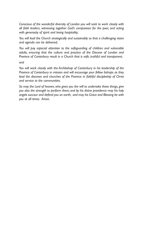*Conscious of the wonderful diversity of London you will seek to work closely with all faith leaders, witnessing together God's compassion for the poor, and acting with generosity of spirit and loving hospitality;*

*You will lead the Church strategically and sustainably so that a challenging vision and agenda can be delivered;*

*You will pay especial attention to the safeguarding of children and vulnerable adults, ensuring that the culture and practice of the Diocese of London and Province of Canterbury result in a Church that is safe, truthful and transparent;*

*and*

*You will work closely with the Archbishop of Canterbury in his leadership of the Province of Canterbury in mission and will encourage your fellow bishops as they lead the dioceses and churches of the Province in faithful discipleship of Christ and service to the communities.*

*So may the Lord of heaven, who gives you the will to undertake these things, give you also the strength to perform them; and by his divine providence may his holy angels succour and defend you on earth; and may his Grace and Blessing be with you at all times. Amen.*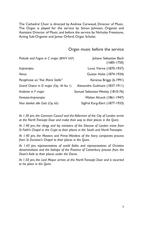The Cathedral Choir is directed by Andrew Carwood, Director of Music. The Organ is played for the service by Simon Johnson, Organist and Assistant Director of Music, and before the service by Nicholas Freestone, Acting Sub-Organist and James Orford, Organ Scholar.

## Organ music before the service

| Prelude and Fugue in C major (BWV 547) | Johann Sebastian Bach<br>$(1685 - 1750)$ |
|----------------------------------------|------------------------------------------|
| <i>Impromptu</i>                       | Louis Vierne (1870-1937)                 |
| Venus                                  | Gustav Holst (1874-1934)                 |
| Paraphrase on "Ave Maris Stella"       | Kerensa Briggs (b.1991)                  |
| Grand Chœur in D major (Op. 18 No 1)   | Alexandre Guilmant (1837-1911)           |
| Andante in F major                     | Samuel Sebastian Wesley (1810-76)        |
| Fantasie-Impromptu                     | Walter Alcock (1861-1947)                |
| Nun danket alle Gott (Op. 65)          | Sigfrid Karg-Elert (1877-1933)           |

*At 1.30 pm, the Common Council and the Aldermen of the City of London arrive at the North Transept Door and make their way to their places in the Quire.*

*At 1.40 pm, the clergy and lay ministers of the Diocese of London move from St Faith's Chapel in the Crypt to their places in the South and North Transepts.*

*At 1.40 pm, the Masters and Prime Wardens of the livery companies process from St Dunstan's Chapel to their places in the Quire.*

*At 1.45 pm, representatives of world faiths and representatives of Christian denominations and the bishops of the Province of Canterbury process from the Dean's Aisle to their places under the Dome.*

*At 1.50 pm, the Lord Mayor arrives at the North Transept Door and is escorted to his place in the Quire.*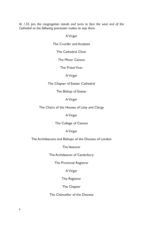*At 1.55 pm, the congregation stands and turns to face the west end of the Cathedral as the following procession makes its way there.*

AVirger

The Crucifer and Acolytes

The Cathedral Choir

The Minor Canons

The Priest Vicar

AVirger

The Chapter of Exeter Cathedral

The Bishop of Exeter

AVirger

The Chairs of the Houses of Laity and Clergy

AVirger

The College of Canons

AVirger

The Archdeacons and Bishops of the Diocese of London

The Vesturer

The Archdeacon of Canterbury

The Provincial Registrar

AVirger

The Registrar

The Chapter

The Chancellor of the Diocese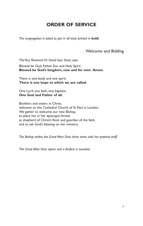# **ORDER OF SERVICE**

*The congregation is asked to join in all texts printed in* **bold***.*

## Welcome and Bidding

*The Very Reverend Dr David Ison, Dean, says*

Blessed be God, Father, Son and Holy Spirit. **Blessed be God's kingdom, now and for ever. Amen.**

There is one body and one spirit. **There is one hope to which we are called.**

One Lord, one faith, one baptism, **One God and Father of all.**

Brothers and sisters in Christ, welcome to this Cathedral Church of St Paul in London. We gather to welcome our new Bishop, to place her in her episcopal throne as shepherd of Christ's flock and guardian of the faith, and to ask God's blessing on her ministry.

*The Bishop strikes the Great West Door three times with her pastoral staff.*

*The Great West Door opens and a fanfare is sounded.*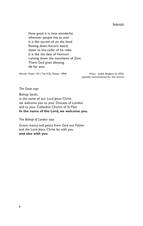**Introit** 

How good it is, how wonderful, wherever people live as one! It is like sacred oil on the head flowing down Aaron's beard, down to the collar of his robe. It is like the dew of Hermon running down the mountains of Zion. There God gives blessing: life for ever.

Words: Psalm 133 (The ICEL Psalter 1994) Music: Judith Bingham (b.1952)

specially commissioned for this service

*The Dean says*

Bishop Sarah, in the name of our Lord Jesus Christ we welcome you to your Diocese of London and to your Cathedral Church of St Paul. **In the name of the Lord, we welcome you.**

*The Bishop of London says*

Grace, mercy and peace from God our Father and the Lord Jesus Christ be with you **and also with you.**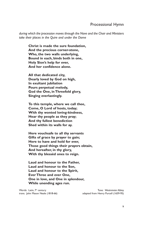## Processional Hymn

*during which the procession moves through the Nave and the Choir and Ministers take their places in the Quire and under the Dome*

**Christ is made the sure foundation, And the precious corner-stone, Who, the two walls underlying, Bound in each, binds both in one, Holy Sion's help for ever, And her confidence alone.**

**All that dedicated city, Dearly loved by God on high, In exultant jubilation Pours perpetual melody, God the One, in Threefold glory, Singing everlastingly.**

**To this temple, where we call thee, Come, O Lord of hosts, today; With thy wonted loving-kindness, Hear thy people as they pray; And thy fullest benediction Shed within its walls for ay.**

**Here vouchsafe to all thy servants Gifts of grace by prayer to gain; Here to have and hold for ever, Those good things their prayers obtain, And hereafter, in thy glory, With thy blessèd ones to reign.**

**Laud and honour to the Father, Laud and honour to the Son, Laud and honour to the Spirit, Ever Three and ever One, One in love, and One in splendour, While unending ages run.**

Words: Latin, 7<sup>th</sup> century Tune: *Westminster Abbey* Tune: *Westminster Abbey* trans. John Mason Neale (1818-66) adapted from Henry Purcell (1659-95)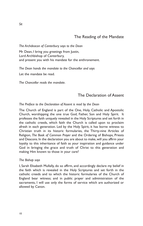## The Reading of the Mandate

*The Archdeacon of Canterbury says to the Dean*

Mr Dean, I bring you greetings from Justin, Lord Archbishop of Canterbury, and present you with his mandate for the enthronement.

*The Dean hands the mandate to the Chancellor and says*

Let the mandate be read.

*The Chancellor reads the mandate.*

## The Declaration of Assent

#### *The Preface to the Declaration of Assent is read by the Dean*

The Church of England is part of the One, Holy, Catholic and Apostolic Church, worshipping the one true God, Father, Son and Holy Spirit. It professes the faith uniquely revealed in the Holy Scriptures and set forth in the catholic creeds, which faith the Church is called upon to proclaim afresh in each generation. Led by the Holy Spirit, it has borne witness to Christian truth in its historic formularies, the Thirty-nine Articles of Religion, *The Book of Common Prayer* and the Ordering of Bishops, Priests and Deacons. In the declaration you are about to make, will you affirm your loyalty to this inheritance of faith as your inspiration and guidance under God in bringing the grace and truth of Christ to this generation and making Him known to those in your care?

#### *The Bishop says*

I, Sarah Elisabeth Mullally, do so affirm, and accordingly declare my belief in the faith which is revealed in the Holy Scriptures and set forth in the catholic creeds and to which the historic formularies of the Church of England bear witness; and in public prayer and administration of the sacraments, I will use only the forms of service which are authorized or allowed by Canon.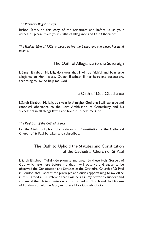#### *The Provincial Registrar says*

Bishop Sarah, on this copy of the Scriptures and before us as your witnesses, please make your Oaths of Allegiance and Due Obedience.

*The Tyndale Bible of 1526 is placed before the Bishop and she places her hand upon it.*

## The Oath of Allegiance to the Sovereign

I, Sarah Elisabeth Mullally, do swear that I will be faithful and bear true allegiance to Her Majesty Queen Elizabeth II, her heirs and successors, according to law: so help me God.

## The Oath of Due Obedience

I, Sarah Elisabeth Mullally, do swear by Almighty God that I will pay true and canonical obedience to the Lord Archbishop of Canterbury and his successors in all things lawful and honest: so help me God.

#### *The Registrar of the Cathedral says*

Let the Oath to Uphold the Statutes and Constitution of the Cathedral Church of St Paul be taken and subscribed.

## The Oath to Uphold the Statutes and Constitution of the Cathedral Church of St Paul

I, Sarah Elisabeth Mullally, do promise and swear by these Holy Gospels of God which are here before me that I will observe and cause to be observed the Constitution and Statutes of the Cathedral Church of St Paul in London; that I accept the privileges and duties appertaining to my office in this Cathedral Church; and that I will do all in my power to support and commend the Christian mission of this Cathedral Church and the Diocese of London; so help me God, and these Holy Gospels of God.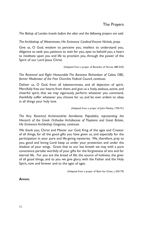## The Prayers

*The Bishop of London kneels before the altar and the following prayers are said.*

*The Archbishop of Westminster, His Eminence Cardinal Vincent Nichols, prays*

Give us, O God, wisdom to perceive you, intellect to understand you, diligence to seek you, patience to wait for you, eyes to behold you, a heart to meditate upon you and life to proclaim you, through the power of the Spirit of our Lord Jesus Christ.

(Adapted from a prayer of Benedict of Nursia, 480-543)

*The Reverend and Right Honourable The Baroness Richardson of Calow, OBE, former Moderator of the Free Churches Federal Council, continues*

Deliver us, O God, from all lukewarmness, and all dejection of spirit. Mercifully free our hearts from them, and give us a lively, zealous, active, and cheerful spirit, that we may vigorously perform whatever you command, thankfully suffer whatever you choose for us, and be ever ardent to obey in all things your holy love.

(Adapted from a prayer of John Wesley, 1703-91)

*The Very Reverend Archimandrite Aemilianos Papadakis, representing the Hierarch of the Greek Orthodox Archdiocese of Thyateira and Great Britain, His Eminence Archbishop Gregorios, continues*

We thank you, Christ and Master our God, King of the ages and Creator of all things, for all the good gifts you have given us, and especially for the participation in your pure and life-giving mysteries. We, therefore, pray to you, good and loving Lord: keep us under your protection and under the shadow of your wings. Grant that to our last breath we may with a pure conscience partake worthily of your gifts for the forgiveness of sins and for eternal life. For you are the bread of life, the source of holiness, the giver of all good things, and to you we give glory, with the Father and the Holy Spirit, now and forever and to the ages of ages.

(Adapted from a prayer of Basil the Great, c.330-79)

#### **Amen.**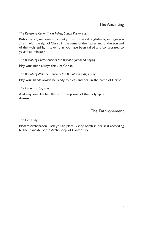## The Anointing

#### *The Reverend Canon Tricia Hillas, Canon Pastor, says*

Bishop Sarah, we come to anoint you with this oil of gladness; and sign you afresh with the sign of Christ, in the name of the Father and of the Son and of the Holy Spirit, in token that you have been called and consecrated to your new ministry.

*The Bishop of Exeter anoints the Bishop's forehead, saying* May your mind always think of Christ.

*The Bishop of Willesden anoints the Bishop's hands, saying* May your hands always be ready to bless and heal in the name of Christ.

*The Canon Pastor, says*

And may your life be filled with the power of the Holy Spirit. **Amen.**

## The Enthronement

#### *The Dean says*

Madam Archdeacon, I ask you to place Bishop Sarah in her seat according to the mandate of the Archbishop of Canterbury.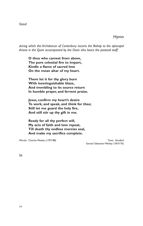*Stand*

Hymn

*during which the Archdeacon of Canterbury escorts the Bishop to the episcopal throne in the Quire accompanied by the Dean who bears the pastoral staff*

**O thou who camest from above, The pure celestial fire to impart, Kindle a flame of sacred love On the mean altar of my heart.**

**There let it for thy glory burn With inextinguishable blaze, And trembling to its source return In humble prayer, and fervent praise.**

**Jesus, confirm my heart's desire To work, and speak, and think for thee; Still let me guard the holy fire, And still stir up thy gift in me.**

**Ready for all thy perfect will, My acts of faith and love repeat, Till death thy endless mercies seal, And make my sacrifice complete.**

Words: Charles Wesley (1707-88) Charles Wesley (1707-88) Samuel Sebastian Wesley (1810-76)

*Sit*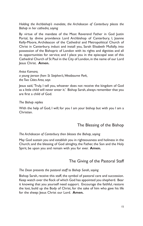*Holding the Archbishop's mandate, the Archdeacon of Canterbury places the Bishop in her cathedra, saying*

By virtue of the mandate of the Most Reverend Father in God Justin Portal, by divine providence Lord Archbishop of Canterbury, I, Joanne Kelly-Moore, Archdeacon of the Cathedral and Metropolitical Church of Christ in Canterbury, induct and install you, Sarah Elisabeth Mullally, into possession of the Bishopric of London with its rights and dignities and all its opportunities for service; and I place you in the episcopal seat of this Cathedral Church of St Paul in the City of London, in the name of our Lord Jesus Christ. **Amen.**

#### *Anisa Kamara,*

*a young person from St Stephen's,Westbourne Park, the Two Cities Area, says*

Jesus said, 'Truly, I tell you, whoever does not receive the kingdom of God as a little child will never enter it.' Bishop Sarah, always remember that you are first a child of God.

#### *The Bishop replies*

With the help of God, I will; for you I am your bishop but with you I am a Christian.

## The Blessing of the Bishop

#### *The Archdeacon of Canterbury then blesses the Bishop, saying*

May God sustain you and establish you in righteousness and holiness in the Church; and the blessing of God almighty, the Father, the Son and the Holy Spirit, be upon you and remain with you for ever. **Amen.**

## The Giving of the Pastoral Staff

#### *The Dean presents the pastoral staff to Bishop Sarah, saying*

Bishop Sarah, receive this staff, the symbol of pastoral care and succession. Keep watch over the flock of which God has appointed you shepherd. Bear it knowing that you yourself need support. Encourage the faithful, restore the lost, build up the Body of Christ, for the sake of him who gave his life for the sheep: Jesus Christ our Lord. **Amen.**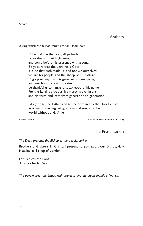#### *Stand*

### Anthem

*during which the Bishop returns to the Dome area.*

O be joyful in the Lord, all ye lands: serve the Lord with gladness, and come before his presence with a song. Be ye sure that the Lord he is God: it is he that hath made us, and not we ourselves; we are his people, and the sheep of his pasture. O go your way into his gates with thanksgiving, and into his courts with praise: be thankful unto him, and speak good of his name. For the Lord is gracious, his mercy is everlasting: and his truth endureth from generation to generation.

Glory be to the Father, and to the Son: and to the Holy Ghost; as it was in the beginning, is now, and ever shall be: world without end. Amen.

Words: Psalm 100 Music: William Walton (1902-83)

#### The Presentation

*The Dean presents the Bishop to the people, saying*

Brothers and sisters in Christ, I present to you Sarah, our Bishop, duly installed as Bishop of London.

Let us bless the Lord. **Thanks be to God.**

*The people greet the Bishop with applause and the organ sounds a flourish.*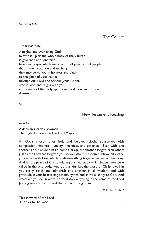*Silence is kept.*

The Collect

*The Bishop prays*

Almighty and everlasting God, by whose Spirit the whole body of the Church is governed and sanctified: hear our prayer which we offer for all your faithful people, that in their vocation and ministry they may serve you in holiness and truth to the glory of your name; through our Lord and Saviour Jesus Christ, who is alive and reigns with you, in the unity of the Holy Spirit, one God, now and for ever. **Amen.**

*Sit*

New Testament Reading

*read by*

Alderman Charles Bowman, The Right Honourable The Lord Mayor

As God's chosen ones, holy and beloved, clothe yourselves with compassion, kindness, humility, meekness, and patience. Bear with one another and, if anyone has a complaint against another, forgive each other; just as the Lord has forgiven you, so you also must forgive. Above all, clothe yourselves with love, which binds everything together in perfect harmony. And let the peace of Christ rule in your hearts, to which indeed you were called in the one body. And be thankful. Let the word of Christ dwell in you richly; teach and admonish one another in all wisdom; and with gratitude in your hearts sing psalms, hymns, and spiritual songs to God. And whatever you do, in word or deed, do everything in the name of the Lord Jesus, giving thanks to God the Father through him.

Colossians 3. 12-17

This is word of the Lord. **Thanks be to God.**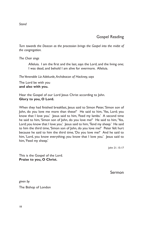*Stand*

# Gospel Reading

*Turn towards the Deacon as the procession brings the Gospel into the midst of the congregation.*

*The Choir sings*

Alleluia. I am the first and the last, says the Lord, and the living one; I was dead, and behold I am alive for evermore. Alleluia.

*The Venerable Liz Adekunle,Archdeacon of Hackney, says*

The Lord be with you **and also with you.**

Hear the Gospel of our Lord Jesus Christ according to John. **Glory to you, O Lord.**

When they had finished breakfast, Jesus said to Simon Peter,'Simon son of John, do you love me more than these?' He said to him, 'Yes, Lord; you know that I love you.' Jesus said to him, 'Feed my lambs.' A second time he said to him, 'Simon son of John, do you love me?' He said to him, 'Yes, Lord; you know that I love you.' Jesus said to him, 'Tend my sheep.' He said to him the third time,'Simon son of John, do you love me?' Peter felt hurt because he said to him the third time, 'Do you love me?' And he said to him, 'Lord, you know everything; you know that I love you.' Jesus said to him,'Feed my sheep.'

John 21. 15-17

This is the Gospel of the Lord. **Praise to you, O Christ.**

Sermon

*given by* The Bishop of London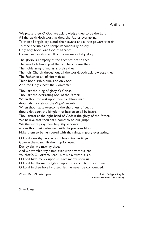## Anthem

We praise thee, O God: we acknowledge thee to be the Lord. All the earth doth worship thee: the Father everlasting. To thee all angels cry aloud: the heavens, and all the powers therein. To thee cherubin and seraphin: continually do cry, Holy, holy, holy: Lord God of Sabaoth; Heaven and earth are full of the majesty: of thy glory.

The glorious company of the apostles: praise thee. The goodly fellowship of the prophets: praise thee. The noble army of martyrs: praise thee. The holy Church throughout all the world: doth acknowledge thee; The Father: of an infinite majesty; Thine honourable, true: and only Son; Also the Holy Ghost: the Comforter.

Thou art the King of glory: O Christ. Thou art the everlasting Son: of the Father. When thou tookest upon thee to deliver man: thou didst not abhor the Virgin's womb. When thou hadst overcome the sharpness of death: thou didst open the kingdom of heaven to all believers. Thou sittest at the right hand of God: in the glory of the Father. We believe that thou shalt come: to be our judge. We therefore pray thee, help thy servants: whom thou hast redeemed with thy precious blood. Make them to be numbered with thy saints: in glory everlasting.

O Lord, save thy people: and bless thine heritage.

Govern them: and lift them up for ever.

Day by day: we magnify thee;

And we worship thy name: ever world without end.

Vouchsafe, O Lord: to keep us this day without sin.

O Lord, have mercy upon us: have mercy upon us.

O Lord, let thy mercy lighten upon us: as our trust is in thee.

O Lord, in thee have I trusted: let me never be confounded.

Words: Early Christian hymn **Music: Collegium Regale** 

Herbert Howells (1892-1983)

*Sit or kneel*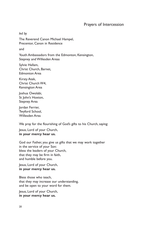## Prayers of Intercession

*led by*

The Reverend Canon Michael Hampel, Precentor, Canon in Residence

and

Youth Ambassadors from the Edmonton, Kensington, Stepney and Willesden Areas

Sylvie Hallam, Christ Church, Barnet, Edmonton Area

Kirsty Atek, Christ Church W4, Kensington Area

Joshua Owolabi, St John's Hoxton, Stepney Area

Jordan Ferrier, Twyford School, Willesden Area

We pray for the flourishing of God's gifts to his Church, saying:

Jesus, Lord of your Church, **in your mercy hear us.**

God our Father, you give us gifts that we may work together in the service of your Son: bless the leaders of your Church, that they may be firm in faith, and humble before you.

Jesus, Lord of your Church, **in your mercy hear us.**

Bless those who teach, that they may increase our understanding, and be open to your word for them.

Jesus, Lord of your Church, **in your mercy hear us.**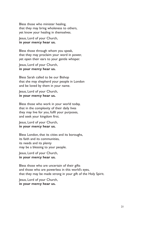Bless those who minister healing, that they may bring wholeness to others, yet know your healing in themselves.

Jesus, Lord of your Church, **in your mercy hear us.**

Bless those through whom you speak, that they may proclaim your word in power, yet open their ears to your gentle whisper.

Jesus, Lord of your Church, **in your mercy hear us.**

Bless Sarah called to be our Bishop that she may shepherd your people in London and be loved by them in your name.

Jesus, Lord of your Church, **in your mercy hear us.**

Bless those who work in your world today, that in the complexity of their daily lives they may live for you, fulfil your purposes, and seek your kingdom first.

Jesus, Lord of your Church, **in your mercy hear us.**

Bless London, that its cities and its boroughs, its faith and its communities, its needs and its plenty may be a blessing to your people.

Jesus, Lord of your Church, **in your mercy hear us.**

Bless those who are uncertain of their gifts and those who are powerless in this world's eyes, that they may be made strong in your gift of the Holy Spirit.

Jesus, Lord of your Church, **in your mercy hear us.**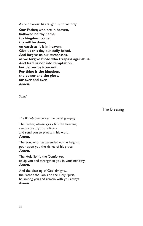As our Saviour has taught us, so we pray:

**Our Father, who art in heaven, hallowed be thy name; thy kingdom come; thy will be done; on earth as it is in heaven. Give us this day our daily bread. And forgive us our trespasses, as we forgive those who trespass against us. And lead us not into temptation; but deliver us from evil. For thine is the kingdom, the power and the glory, for ever and ever. Amen.**

*Stand*

The Blessing

*The Bishop pronounces the blessing, saying*

The Father, whose glory fills the heavens, cleanse you by his holiness and send you to proclaim his word. **Amen.**

The Son, who has ascended to the heights, pour upon you the riches of his grace. **Amen.**

The Holy Spirit, the Comforter, equip you and strengthen you in your ministry. **Amen.**

And the blessing of God almighty, the Father, the Son, and the Holy Spirit, be among you and remain with you always. **Amen.**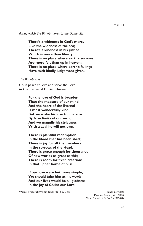## Hymn

*during which the Bishop moves to the Dome altar*

**There's a wideness in God's mercy Like the wideness of the sea; There's a kindness in his justice Which is more than liberty. There is no place where earth's sorrows Are more felt than up in heaven; There is no place where earth's failings Have such kindly judgement given.**

#### *The Bishop says*

Go in peace to love and serve the Lord. **in the name of Christ. Amen.**

> **For the love of God is broader Than the measure of our mind; And the heart of the Eternal Is most wonderfully kind. But we make his love too narrow By false limits of our own; And we magnify his strictness With a zeal he will not own.**

**There is plentiful redemption In the blood that has been shed; There is joy for all the members In the sorrows of the Head. There is grace enough for thousands Of new worlds as great as this; There is room for fresh creations In that upper home of bliss.**

**If our love were but more simple, We should take him at his word; And our lives would be all gladness In the joy of Christ our Lord.**

Words: Frederick William Faber (1814-63), alt. Tune: Corvedale

Maurice Bevan (1921-2006) Vicar Choral of St Paul's (1949-89)